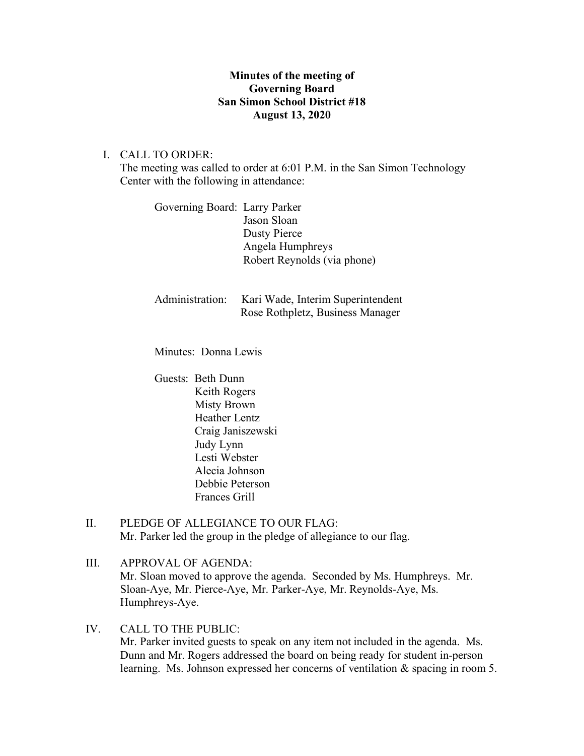## **Minutes of the meeting of Governing Board San Simon School District #18 August 13, 2020**

I. CALL TO ORDER:

The meeting was called to order at 6:01 P.M. in the San Simon Technology Center with the following in attendance:

| Governing Board: Larry Parker |                             |
|-------------------------------|-----------------------------|
|                               | Jason Sloan                 |
|                               | Dusty Pierce                |
|                               | Angela Humphreys            |
|                               | Robert Reynolds (via phone) |
|                               |                             |

| Administration: | Kari Wade, Interim Superintendent |
|-----------------|-----------------------------------|
|                 | Rose Rothpletz, Business Manager  |

Minutes: Donna Lewis

Guests: Beth Dunn Keith Rogers Misty Brown Heather Lentz Craig Janiszewski Judy Lynn Lesti Webster Alecia Johnson Debbie Peterson Frances Grill

II. PLEDGE OF ALLEGIANCE TO OUR FLAG: Mr. Parker led the group in the pledge of allegiance to our flag.

III. APPROVAL OF AGENDA: Mr. Sloan moved to approve the agenda. Seconded by Ms. Humphreys. Mr. Sloan-Aye, Mr. Pierce-Aye, Mr. Parker-Aye, Mr. Reynolds-Aye, Ms. Humphreys-Aye.

IV. CALL TO THE PUBLIC: Mr. Parker invited guests to speak on any item not included in the agenda. Ms. Dunn and Mr. Rogers addressed the board on being ready for student in-person learning. Ms. Johnson expressed her concerns of ventilation & spacing in room 5.